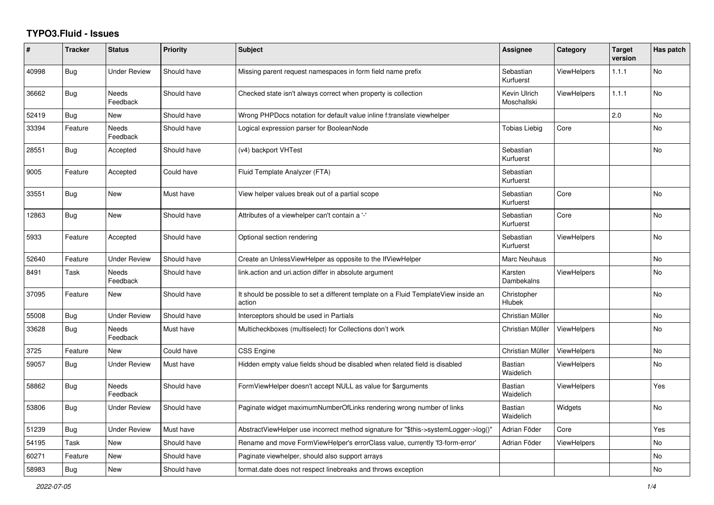## **TYPO3.Fluid - Issues**

| $\#$  | <b>Tracker</b> | <b>Status</b>            | <b>Priority</b> | <b>Subject</b>                                                                                | Assignee                    | Category           | <b>Target</b><br>version | Has patch |
|-------|----------------|--------------------------|-----------------|-----------------------------------------------------------------------------------------------|-----------------------------|--------------------|--------------------------|-----------|
| 40998 | <b>Bug</b>     | <b>Under Review</b>      | Should have     | Missing parent request namespaces in form field name prefix                                   | Sebastian<br>Kurfuerst      | <b>ViewHelpers</b> | 1.1.1                    | <b>No</b> |
| 36662 | Bug            | Needs<br>Feedback        | Should have     | Checked state isn't always correct when property is collection                                | Kevin Ulrich<br>Moschallski | <b>ViewHelpers</b> | 1.1.1                    | <b>No</b> |
| 52419 | <b>Bug</b>     | New                      | Should have     | Wrong PHPDocs notation for default value inline f:translate viewhelper                        |                             |                    | 2.0                      | No        |
| 33394 | Feature        | <b>Needs</b><br>Feedback | Should have     | Logical expression parser for BooleanNode                                                     | Tobias Liebig               | Core               |                          | <b>No</b> |
| 28551 | <b>Bug</b>     | Accepted                 | Should have     | (v4) backport VHTest                                                                          | Sebastian<br>Kurfuerst      |                    |                          | No        |
| 9005  | Feature        | Accepted                 | Could have      | Fluid Template Analyzer (FTA)                                                                 | Sebastian<br>Kurfuerst      |                    |                          |           |
| 33551 | <b>Bug</b>     | <b>New</b>               | Must have       | View helper values break out of a partial scope                                               | Sebastian<br>Kurfuerst      | Core               |                          | <b>No</b> |
| 12863 | Bug            | New                      | Should have     | Attributes of a viewhelper can't contain a '-'                                                | Sebastian<br>Kurfuerst      | Core               |                          | No        |
| 5933  | Feature        | Accepted                 | Should have     | Optional section rendering                                                                    | Sebastian<br>Kurfuerst      | <b>ViewHelpers</b> |                          | No        |
| 52640 | Feature        | <b>Under Review</b>      | Should have     | Create an UnlessViewHelper as opposite to the IfViewHelper                                    | Marc Neuhaus                |                    |                          | No        |
| 8491  | Task           | Needs<br>Feedback        | Should have     | link.action and uri.action differ in absolute argument                                        | Karsten<br>Dambekalns       | <b>ViewHelpers</b> |                          | No        |
| 37095 | Feature        | New                      | Should have     | It should be possible to set a different template on a Fluid TemplateView inside an<br>action | Christopher<br>Hlubek       |                    |                          | <b>No</b> |
| 55008 | Bug            | Under Review             | Should have     | Interceptors should be used in Partials                                                       | Christian Müller            |                    |                          | <b>No</b> |
| 33628 | <b>Bug</b>     | Needs<br>Feedback        | Must have       | Multicheckboxes (multiselect) for Collections don't work                                      | Christian Müller            | <b>ViewHelpers</b> |                          | No        |
| 3725  | Feature        | <b>New</b>               | Could have      | <b>CSS Engine</b>                                                                             | Christian Müller            | <b>ViewHelpers</b> |                          | No        |
| 59057 | <b>Bug</b>     | <b>Under Review</b>      | Must have       | Hidden empty value fields shoud be disabled when related field is disabled                    | <b>Bastian</b><br>Waidelich | <b>ViewHelpers</b> |                          | No        |
| 58862 | <b>Bug</b>     | Needs<br>Feedback        | Should have     | FormViewHelper doesn't accept NULL as value for \$arguments                                   | Bastian<br>Waidelich        | <b>ViewHelpers</b> |                          | Yes       |
| 53806 | <b>Bug</b>     | Under Review             | Should have     | Paginate widget maximumNumberOfLinks rendering wrong number of links                          | Bastian<br>Waidelich        | Widgets            |                          | <b>No</b> |
| 51239 | <b>Bug</b>     | <b>Under Review</b>      | Must have       | AbstractViewHelper use incorrect method signature for "\$this->systemLogger->log()"           | Adrian Föder                | Core               |                          | Yes       |
| 54195 | Task           | <b>New</b>               | Should have     | Rename and move FormViewHelper's errorClass value, currently 'f3-form-error'                  | Adrian Föder                | <b>ViewHelpers</b> |                          | No        |
| 60271 | Feature        | New                      | Should have     | Paginate viewhelper, should also support arrays                                               |                             |                    |                          | No        |
| 58983 | Bug            | New                      | Should have     | format.date does not respect linebreaks and throws exception                                  |                             |                    |                          | <b>No</b> |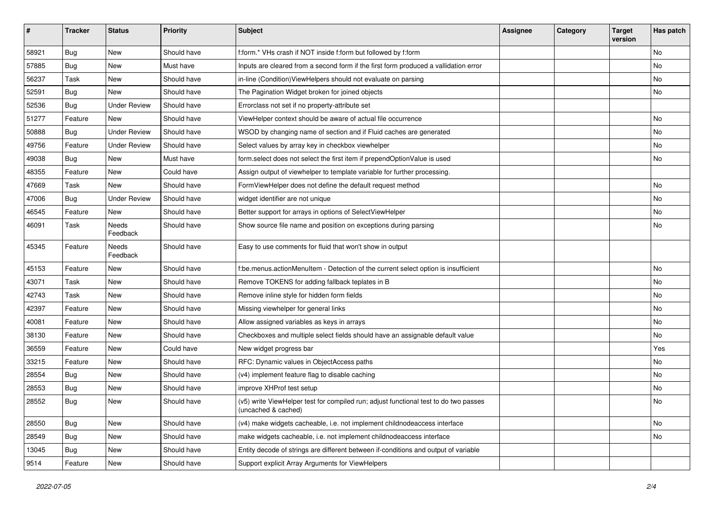| #     | <b>Tracker</b> | <b>Status</b>            | <b>Priority</b> | <b>Subject</b>                                                                                              | <b>Assignee</b> | Category | <b>Target</b><br>version | Has patch |
|-------|----------------|--------------------------|-----------------|-------------------------------------------------------------------------------------------------------------|-----------------|----------|--------------------------|-----------|
| 58921 | Bug            | New                      | Should have     | f:form.* VHs crash if NOT inside f:form but followed by f:form                                              |                 |          |                          | <b>No</b> |
| 57885 | Bug            | New                      | Must have       | Inputs are cleared from a second form if the first form produced a vallidation error                        |                 |          |                          | No        |
| 56237 | Task           | New                      | Should have     | in-line (Condition) View Helpers should not evaluate on parsing                                             |                 |          |                          | No        |
| 52591 | Bug            | <b>New</b>               | Should have     | The Pagination Widget broken for joined objects                                                             |                 |          |                          | No        |
| 52536 | Bug            | <b>Under Review</b>      | Should have     | Errorclass not set if no property-attribute set                                                             |                 |          |                          |           |
| 51277 | Feature        | New                      | Should have     | ViewHelper context should be aware of actual file occurrence                                                |                 |          |                          | No        |
| 50888 | Bug            | <b>Under Review</b>      | Should have     | WSOD by changing name of section and if Fluid caches are generated                                          |                 |          |                          | No        |
| 49756 | Feature        | <b>Under Review</b>      | Should have     | Select values by array key in checkbox viewhelper                                                           |                 |          |                          | No        |
| 49038 | Bug            | New                      | Must have       | form.select does not select the first item if prependOptionValue is used                                    |                 |          |                          | No        |
| 48355 | Feature        | New                      | Could have      | Assign output of viewhelper to template variable for further processing.                                    |                 |          |                          |           |
| 47669 | Task           | New                      | Should have     | FormViewHelper does not define the default request method                                                   |                 |          |                          | <b>No</b> |
| 47006 | Bug            | <b>Under Review</b>      | Should have     | widget identifier are not unique                                                                            |                 |          |                          | No        |
| 46545 | Feature        | New                      | Should have     | Better support for arrays in options of SelectViewHelper                                                    |                 |          |                          | No        |
| 46091 | Task           | <b>Needs</b><br>Feedback | Should have     | Show source file name and position on exceptions during parsing                                             |                 |          |                          | No        |
| 45345 | Feature        | Needs<br>Feedback        | Should have     | Easy to use comments for fluid that won't show in output                                                    |                 |          |                          |           |
| 45153 | Feature        | New                      | Should have     | f:be.menus.actionMenuItem - Detection of the current select option is insufficient                          |                 |          |                          | No        |
| 43071 | Task           | New                      | Should have     | Remove TOKENS for adding fallback teplates in B                                                             |                 |          |                          | <b>No</b> |
| 42743 | Task           | New                      | Should have     | Remove inline style for hidden form fields                                                                  |                 |          |                          | No        |
| 42397 | Feature        | New                      | Should have     | Missing viewhelper for general links                                                                        |                 |          |                          | No        |
| 40081 | Feature        | New                      | Should have     | Allow assigned variables as keys in arrays                                                                  |                 |          |                          | No        |
| 38130 | Feature        | New                      | Should have     | Checkboxes and multiple select fields should have an assignable default value                               |                 |          |                          | No        |
| 36559 | Feature        | New                      | Could have      | New widget progress bar                                                                                     |                 |          |                          | Yes       |
| 33215 | Feature        | New                      | Should have     | RFC: Dynamic values in ObjectAccess paths                                                                   |                 |          |                          | No        |
| 28554 | Bug            | New                      | Should have     | (v4) implement feature flag to disable caching                                                              |                 |          |                          | <b>No</b> |
| 28553 | <b>Bug</b>     | New                      | Should have     | improve XHProf test setup                                                                                   |                 |          |                          | No        |
| 28552 | Bug            | New                      | Should have     | (v5) write ViewHelper test for compiled run; adjust functional test to do two passes<br>(uncached & cached) |                 |          |                          | No        |
| 28550 | <b>Bug</b>     | New                      | Should have     | (v4) make widgets cacheable, i.e. not implement childnodeaccess interface                                   |                 |          |                          | No        |
| 28549 | Bug            | New                      | Should have     | make widgets cacheable, i.e. not implement childnodeaccess interface                                        |                 |          |                          | No        |
| 13045 | Bug            | New                      | Should have     | Entity decode of strings are different between if-conditions and output of variable                         |                 |          |                          |           |
| 9514  | Feature        | New                      | Should have     | Support explicit Array Arguments for ViewHelpers                                                            |                 |          |                          |           |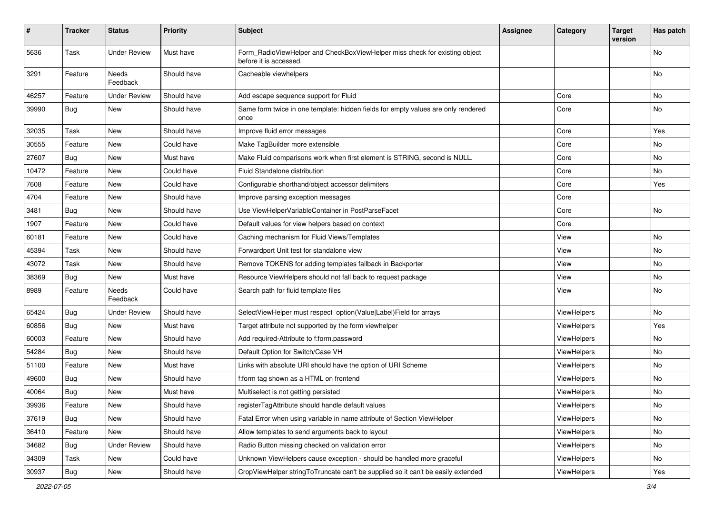| #     | <b>Tracker</b> | <b>Status</b>       | <b>Priority</b> | <b>Subject</b>                                                                                       | <b>Assignee</b> | Category    | <b>Target</b><br>version | Has patch |
|-------|----------------|---------------------|-----------------|------------------------------------------------------------------------------------------------------|-----------------|-------------|--------------------------|-----------|
| 5636  | Task           | <b>Under Review</b> | Must have       | Form RadioViewHelper and CheckBoxViewHelper miss check for existing object<br>before it is accessed. |                 |             |                          | No        |
| 3291  | Feature        | Needs<br>Feedback   | Should have     | Cacheable viewhelpers                                                                                |                 |             |                          | No        |
| 46257 | Feature        | <b>Under Review</b> | Should have     | Add escape sequence support for Fluid                                                                |                 | Core        |                          | No        |
| 39990 | Bug            | New                 | Should have     | Same form twice in one template: hidden fields for empty values are only rendered<br>once            |                 | Core        |                          | No        |
| 32035 | Task           | New                 | Should have     | Improve fluid error messages                                                                         |                 | Core        |                          | Yes       |
| 30555 | Feature        | New                 | Could have      | Make TagBuilder more extensible                                                                      |                 | Core        |                          | No        |
| 27607 | Bug            | New                 | Must have       | Make Fluid comparisons work when first element is STRING, second is NULL.                            |                 | Core        |                          | No        |
| 10472 | Feature        | New                 | Could have      | <b>Fluid Standalone distribution</b>                                                                 |                 | Core        |                          | No        |
| 7608  | Feature        | New                 | Could have      | Configurable shorthand/object accessor delimiters                                                    |                 | Core        |                          | Yes       |
| 4704  | Feature        | New                 | Should have     | Improve parsing exception messages                                                                   |                 | Core        |                          |           |
| 3481  | Bug            | New                 | Should have     | Use ViewHelperVariableContainer in PostParseFacet                                                    |                 | Core        |                          | No        |
| 1907  | Feature        | New                 | Could have      | Default values for view helpers based on context                                                     |                 | Core        |                          |           |
| 60181 | Feature        | New                 | Could have      | Caching mechanism for Fluid Views/Templates                                                          |                 | View        |                          | No        |
| 45394 | Task           | New                 | Should have     | Forwardport Unit test for standalone view                                                            |                 | View        |                          | No        |
| 43072 | Task           | New                 | Should have     | Remove TOKENS for adding templates fallback in Backporter                                            |                 | View        |                          | No        |
| 38369 | Bug            | New                 | Must have       | Resource ViewHelpers should not fall back to request package                                         |                 | View        |                          | No        |
| 8989  | Feature        | Needs<br>Feedback   | Could have      | Search path for fluid template files                                                                 |                 | View        |                          | No        |
| 65424 | Bug            | <b>Under Review</b> | Should have     | SelectViewHelper must respect option(Value Label)Field for arrays                                    |                 | ViewHelpers |                          | No.       |
| 60856 | Bug            | New                 | Must have       | Target attribute not supported by the form viewhelper                                                |                 | ViewHelpers |                          | Yes       |
| 60003 | Feature        | New                 | Should have     | Add required-Attribute to f:form.password                                                            |                 | ViewHelpers |                          | No        |
| 54284 | Bug            | New                 | Should have     | Default Option for Switch/Case VH                                                                    |                 | ViewHelpers |                          | No        |
| 51100 | Feature        | New                 | Must have       | Links with absolute URI should have the option of URI Scheme                                         |                 | ViewHelpers |                          | No        |
| 49600 | <b>Bug</b>     | New                 | Should have     | f:form tag shown as a HTML on frontend                                                               |                 | ViewHelpers |                          | No        |
| 40064 | <b>Bug</b>     | New                 | Must have       | Multiselect is not getting persisted                                                                 |                 | ViewHelpers |                          | No        |
| 39936 | Feature        | New                 | Should have     | registerTagAttribute should handle default values                                                    |                 | ViewHelpers |                          | No        |
| 37619 | <b>Bug</b>     | New                 | Should have     | Fatal Error when using variable in name attribute of Section ViewHelper                              |                 | ViewHelpers |                          | No        |
| 36410 | Feature        | New                 | Should have     | Allow templates to send arguments back to layout                                                     |                 | ViewHelpers |                          | No        |
| 34682 | Bug            | <b>Under Review</b> | Should have     | Radio Button missing checked on validation error                                                     |                 | ViewHelpers |                          | No        |
| 34309 | Task           | New                 | Could have      | Unknown ViewHelpers cause exception - should be handled more graceful                                |                 | ViewHelpers |                          | No        |
| 30937 | Bug            | New                 | Should have     | CropViewHelper stringToTruncate can't be supplied so it can't be easily extended                     |                 | ViewHelpers |                          | Yes       |